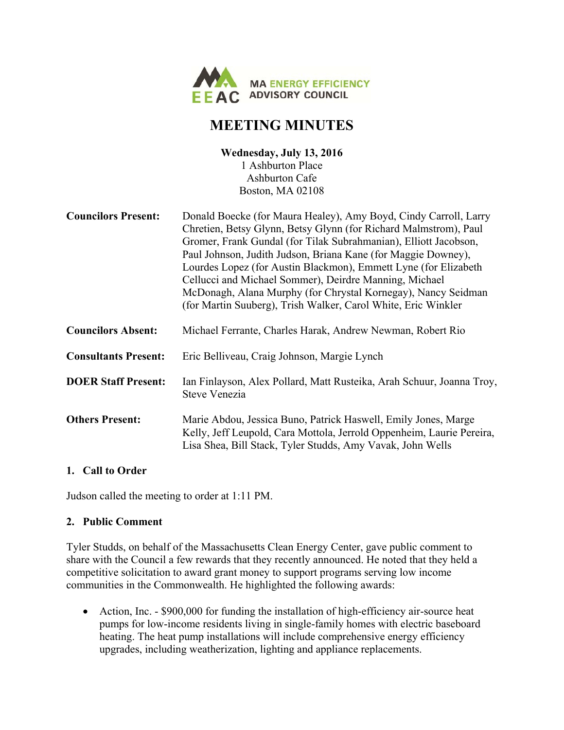

# **MEETING MINUTES**

#### **Wednesday, July 13, 2016**  1 Ashburton Place Ashburton Cafe Boston, MA 02108

| <b>Councilors Present:</b>  | Donald Boecke (for Maura Healey), Amy Boyd, Cindy Carroll, Larry<br>Chretien, Betsy Glynn, Betsy Glynn (for Richard Malmstrom), Paul<br>Gromer, Frank Gundal (for Tilak Subrahmanian), Elliott Jacobson,<br>Paul Johnson, Judith Judson, Briana Kane (for Maggie Downey),<br>Lourdes Lopez (for Austin Blackmon), Emmett Lyne (for Elizabeth<br>Cellucci and Michael Sommer), Deirdre Manning, Michael<br>McDonagh, Alana Murphy (for Chrystal Kornegay), Nancy Seidman<br>(for Martin Suuberg), Trish Walker, Carol White, Eric Winkler |
|-----------------------------|------------------------------------------------------------------------------------------------------------------------------------------------------------------------------------------------------------------------------------------------------------------------------------------------------------------------------------------------------------------------------------------------------------------------------------------------------------------------------------------------------------------------------------------|
| <b>Councilors Absent:</b>   | Michael Ferrante, Charles Harak, Andrew Newman, Robert Rio                                                                                                                                                                                                                                                                                                                                                                                                                                                                               |
| <b>Consultants Present:</b> | Eric Belliveau, Craig Johnson, Margie Lynch                                                                                                                                                                                                                                                                                                                                                                                                                                                                                              |
| <b>DOER Staff Present:</b>  | Ian Finlayson, Alex Pollard, Matt Rusteika, Arah Schuur, Joanna Troy,<br>Steve Venezia                                                                                                                                                                                                                                                                                                                                                                                                                                                   |
| <b>Others Present:</b>      | Marie Abdou, Jessica Buno, Patrick Haswell, Emily Jones, Marge<br>Kelly, Jeff Leupold, Cara Mottola, Jerrold Oppenheim, Laurie Pereira,<br>Lisa Shea, Bill Stack, Tyler Studds, Amy Vavak, John Wells                                                                                                                                                                                                                                                                                                                                    |

#### **1. Call to Order**

Judson called the meeting to order at 1:11 PM.

#### **2. Public Comment**

Tyler Studds, on behalf of the Massachusetts Clean Energy Center, gave public comment to share with the Council a few rewards that they recently announced. He noted that they held a competitive solicitation to award grant money to support programs serving low income communities in the Commonwealth. He highlighted the following awards:

• Action, Inc. - \$900,000 for funding the installation of high-efficiency air-source heat pumps for low-income residents living in single-family homes with electric baseboard heating. The heat pump installations will include comprehensive energy efficiency upgrades, including weatherization, lighting and appliance replacements.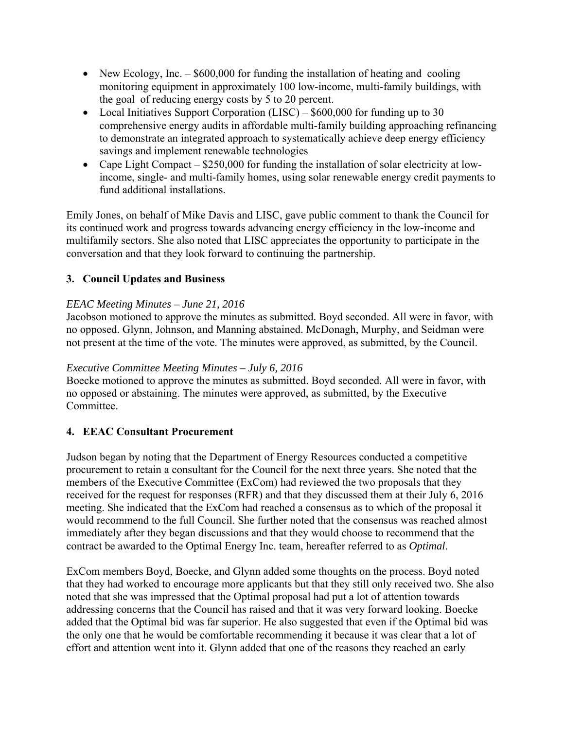- New Ecology, Inc.  $-$  \$600,000 for funding the installation of heating and cooling monitoring equipment in approximately 100 low-income, multi-family buildings, with the goal of reducing energy costs by 5 to 20 percent.
- Local Initiatives Support Corporation (LISC) \$600,000 for funding up to 30 comprehensive energy audits in affordable multi-family building approaching refinancing to demonstrate an integrated approach to systematically achieve deep energy efficiency savings and implement renewable technologies
- Cape Light Compact \$250,000 for funding the installation of solar electricity at lowincome, single- and multi-family homes, using solar renewable energy credit payments to fund additional installations.

Emily Jones, on behalf of Mike Davis and LISC, gave public comment to thank the Council for its continued work and progress towards advancing energy efficiency in the low-income and multifamily sectors. She also noted that LISC appreciates the opportunity to participate in the conversation and that they look forward to continuing the partnership.

## **3. Council Updates and Business**

### *EEAC Meeting Minutes – June 21, 2016*

Jacobson motioned to approve the minutes as submitted. Boyd seconded. All were in favor, with no opposed. Glynn, Johnson, and Manning abstained. McDonagh, Murphy, and Seidman were not present at the time of the vote. The minutes were approved, as submitted, by the Council.

#### *Executive Committee Meeting Minutes – July 6, 2016*

Boecke motioned to approve the minutes as submitted. Boyd seconded. All were in favor, with no opposed or abstaining. The minutes were approved, as submitted, by the Executive Committee.

## **4. EEAC Consultant Procurement**

Judson began by noting that the Department of Energy Resources conducted a competitive procurement to retain a consultant for the Council for the next three years. She noted that the members of the Executive Committee (ExCom) had reviewed the two proposals that they received for the request for responses (RFR) and that they discussed them at their July 6, 2016 meeting. She indicated that the ExCom had reached a consensus as to which of the proposal it would recommend to the full Council. She further noted that the consensus was reached almost immediately after they began discussions and that they would choose to recommend that the contract be awarded to the Optimal Energy Inc. team, hereafter referred to as *Optimal*.

ExCom members Boyd, Boecke, and Glynn added some thoughts on the process. Boyd noted that they had worked to encourage more applicants but that they still only received two. She also noted that she was impressed that the Optimal proposal had put a lot of attention towards addressing concerns that the Council has raised and that it was very forward looking. Boecke added that the Optimal bid was far superior. He also suggested that even if the Optimal bid was the only one that he would be comfortable recommending it because it was clear that a lot of effort and attention went into it. Glynn added that one of the reasons they reached an early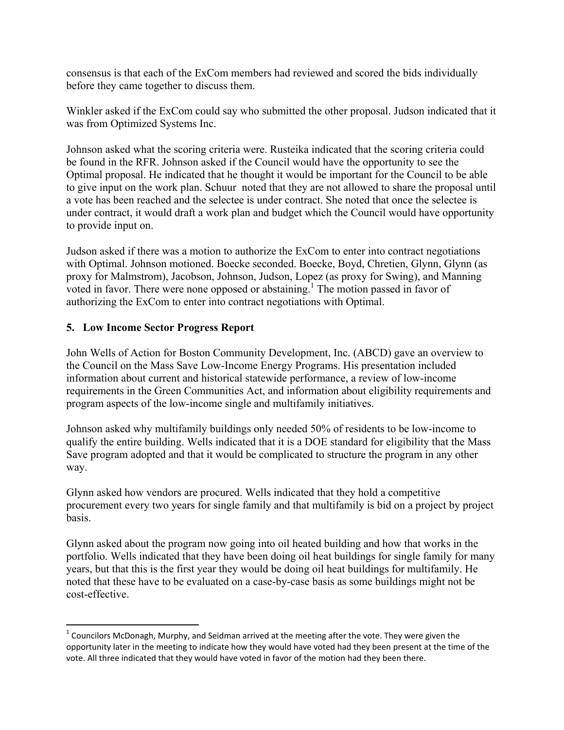consensus is that each of the ExCom members had reviewed and scored the bids individually before they came together to discuss them.

Winkler asked if the ExCom could say who submitted the other proposal. Judson indicated that it was from Optimized Systems Inc.

Johnson asked what the scoring criteria were. Rusteika indicated that the scoring criteria could be found in the RFR. Johnson asked if the Council would have the opportunity to see the Optimal proposal. He indicated that he thought it would be important for the Council to be able to give input on the work plan. Schuur noted that they are not allowed to share the proposal until a vote has been reached and the selectee is under contract. She noted that once the selectee is under contract, it would draft a work plan and budget which the Council would have opportunity to provide input on.

Judson asked if there was a motion to authorize the ExCom to enter into contract negotiations with Optimal. Johnson motioned. Boecke seconded. Boecke, Boyd, Chretien, Glynn, Glynn (as proxy for Malmstrom), Jacobson, Johnson, Judson, Lopez (as proxy for Swing), and Manning voted in favor. There were none opposed or abstaining.<sup>1</sup> The motion passed in favor of authorizing the ExCom to enter into contract negotiations with Optimal.

#### **5. Low Income Sector Progress Report**

John Wells of Action for Boston Community Development, Inc. (ABCD) gave an overview to the Council on the Mass Save Low-Income Energy Programs. His presentation included information about current and historical statewide performance, a review of low-income requirements in the Green Communities Act, and information about eligibility requirements and program aspects of the low-income single and multifamily initiatives.

Johnson asked why multifamily buildings only needed 50% of residents to be low-income to qualify the entire building. Wells indicated that it is a DOE standard for eligibility that the Mass Save program adopted and that it would be complicated to structure the program in any other way.

Glynn asked how vendors are procured. Wells indicated that they hold a competitive procurement every two years for single family and that multifamily is bid on a project by project basis.

Glynn asked about the program now going into oil heated building and how that works in the portfolio. Wells indicated that they have been doing oil heat buildings for single family for many years, but that this is the first year they would be doing oil heat buildings for multifamily. He noted that these have to be evaluated on a case-by-case basis as some buildings might not be cost-effective.

 $1$  Councilors McDonagh, Murphy, and Seidman arrived at the meeting after the vote. They were given the opportunity later in the meeting to indicate how they would have voted had they been present at the time of the vote. All three indicated that they would have voted in favor of the motion had they been there.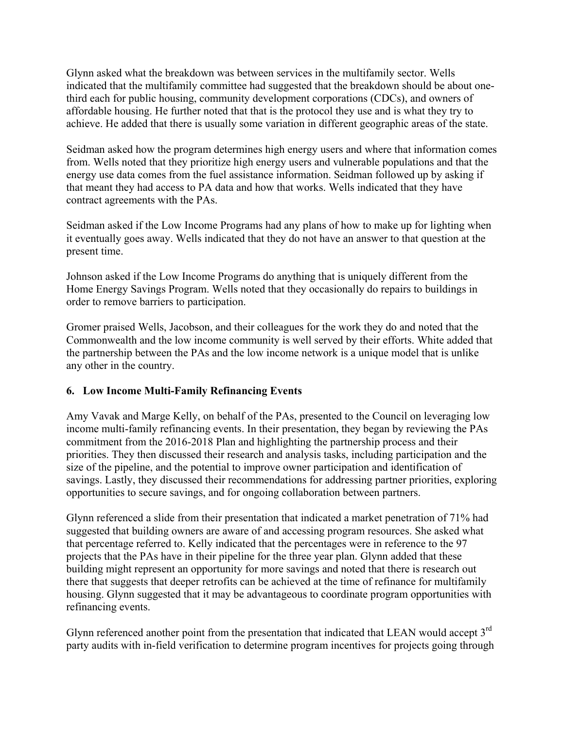Glynn asked what the breakdown was between services in the multifamily sector. Wells indicated that the multifamily committee had suggested that the breakdown should be about onethird each for public housing, community development corporations (CDCs), and owners of affordable housing. He further noted that that is the protocol they use and is what they try to achieve. He added that there is usually some variation in different geographic areas of the state.

Seidman asked how the program determines high energy users and where that information comes from. Wells noted that they prioritize high energy users and vulnerable populations and that the energy use data comes from the fuel assistance information. Seidman followed up by asking if that meant they had access to PA data and how that works. Wells indicated that they have contract agreements with the PAs.

Seidman asked if the Low Income Programs had any plans of how to make up for lighting when it eventually goes away. Wells indicated that they do not have an answer to that question at the present time.

Johnson asked if the Low Income Programs do anything that is uniquely different from the Home Energy Savings Program. Wells noted that they occasionally do repairs to buildings in order to remove barriers to participation.

Gromer praised Wells, Jacobson, and their colleagues for the work they do and noted that the Commonwealth and the low income community is well served by their efforts. White added that the partnership between the PAs and the low income network is a unique model that is unlike any other in the country.

## **6. Low Income Multi-Family Refinancing Events**

Amy Vavak and Marge Kelly, on behalf of the PAs, presented to the Council on leveraging low income multi-family refinancing events. In their presentation, they began by reviewing the PAs commitment from the 2016-2018 Plan and highlighting the partnership process and their priorities. They then discussed their research and analysis tasks, including participation and the size of the pipeline, and the potential to improve owner participation and identification of savings. Lastly, they discussed their recommendations for addressing partner priorities, exploring opportunities to secure savings, and for ongoing collaboration between partners.

Glynn referenced a slide from their presentation that indicated a market penetration of 71% had suggested that building owners are aware of and accessing program resources. She asked what that percentage referred to. Kelly indicated that the percentages were in reference to the 97 projects that the PAs have in their pipeline for the three year plan. Glynn added that these building might represent an opportunity for more savings and noted that there is research out there that suggests that deeper retrofits can be achieved at the time of refinance for multifamily housing. Glynn suggested that it may be advantageous to coordinate program opportunities with refinancing events.

Glynn referenced another point from the presentation that indicated that LEAN would accept 3<sup>rd</sup> party audits with in-field verification to determine program incentives for projects going through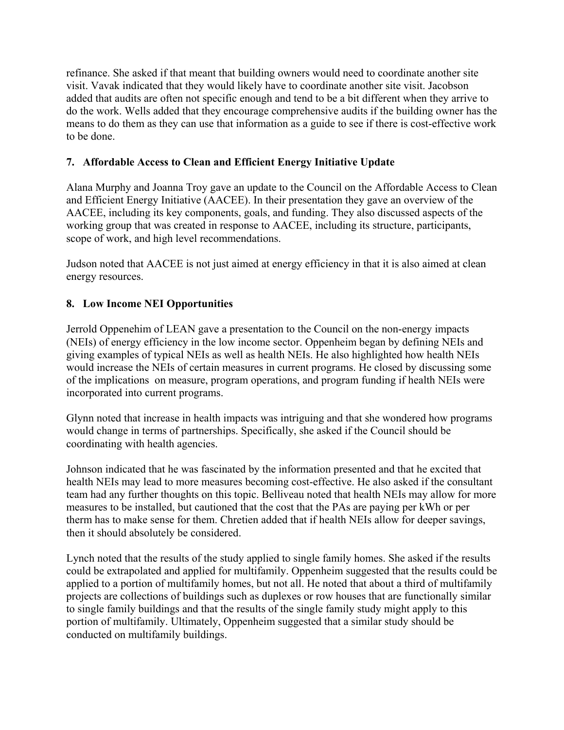refinance. She asked if that meant that building owners would need to coordinate another site visit. Vavak indicated that they would likely have to coordinate another site visit. Jacobson added that audits are often not specific enough and tend to be a bit different when they arrive to do the work. Wells added that they encourage comprehensive audits if the building owner has the means to do them as they can use that information as a guide to see if there is cost-effective work to be done.

## **7. Affordable Access to Clean and Efficient Energy Initiative Update**

Alana Murphy and Joanna Troy gave an update to the Council on the Affordable Access to Clean and Efficient Energy Initiative (AACEE). In their presentation they gave an overview of the AACEE, including its key components, goals, and funding. They also discussed aspects of the working group that was created in response to AACEE, including its structure, participants, scope of work, and high level recommendations.

Judson noted that AACEE is not just aimed at energy efficiency in that it is also aimed at clean energy resources.

### **8. Low Income NEI Opportunities**

Jerrold Oppenehim of LEAN gave a presentation to the Council on the non-energy impacts (NEIs) of energy efficiency in the low income sector. Oppenheim began by defining NEIs and giving examples of typical NEIs as well as health NEIs. He also highlighted how health NEIs would increase the NEIs of certain measures in current programs. He closed by discussing some of the implications on measure, program operations, and program funding if health NEIs were incorporated into current programs.

Glynn noted that increase in health impacts was intriguing and that she wondered how programs would change in terms of partnerships. Specifically, she asked if the Council should be coordinating with health agencies.

Johnson indicated that he was fascinated by the information presented and that he excited that health NEIs may lead to more measures becoming cost-effective. He also asked if the consultant team had any further thoughts on this topic. Belliveau noted that health NEIs may allow for more measures to be installed, but cautioned that the cost that the PAs are paying per kWh or per therm has to make sense for them. Chretien added that if health NEIs allow for deeper savings, then it should absolutely be considered.

Lynch noted that the results of the study applied to single family homes. She asked if the results could be extrapolated and applied for multifamily. Oppenheim suggested that the results could be applied to a portion of multifamily homes, but not all. He noted that about a third of multifamily projects are collections of buildings such as duplexes or row houses that are functionally similar to single family buildings and that the results of the single family study might apply to this portion of multifamily. Ultimately, Oppenheim suggested that a similar study should be conducted on multifamily buildings.